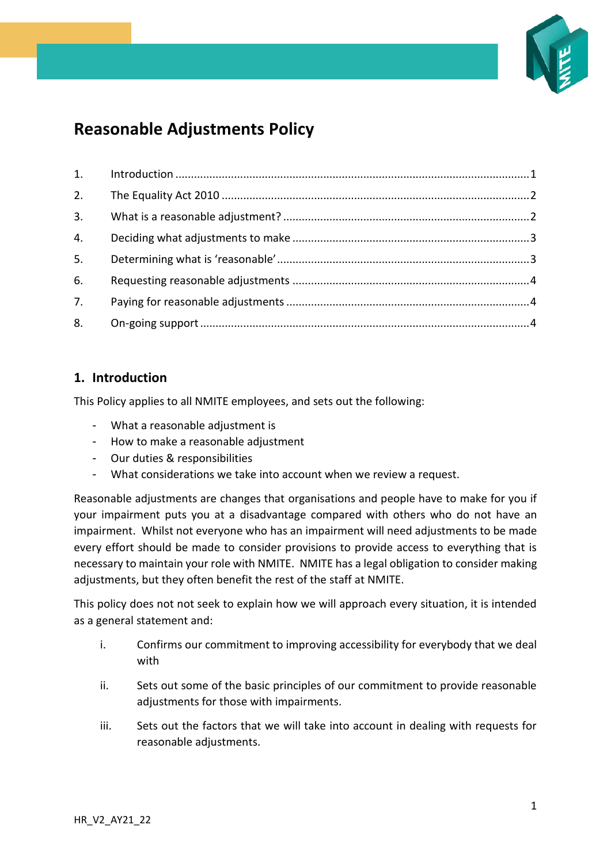

# **Reasonable Adjustments Policy**

| 2. |  |
|----|--|
|    |  |
| 4. |  |
| 5. |  |
| 6. |  |
| 7. |  |
| 8. |  |

## <span id="page-0-0"></span>**1. Introduction**

This Policy applies to all NMITE employees, and sets out the following:

- What a reasonable adjustment is
- How to make a reasonable adjustment
- Our duties & responsibilities
- What considerations we take into account when we review a request.

Reasonable adjustments are changes that organisations and people have to make for you if your impairment puts you at a disadvantage compared with others who do not have an impairment. Whilst not everyone who has an impairment will need adjustments to be made every effort should be made to consider provisions to provide access to everything that is necessary to maintain your role with NMITE. NMITE has a legal obligation to consider making adjustments, but they often benefit the rest of the staff at NMITE.

This policy does not not seek to explain how we will approach every situation, it is intended as a general statement and:

- i. Confirms our commitment to improving accessibility for everybody that we deal with
- ii. Sets out some of the basic principles of our commitment to provide reasonable adjustments for those with impairments.
- iii. Sets out the factors that we will take into account in dealing with requests for reasonable adjustments.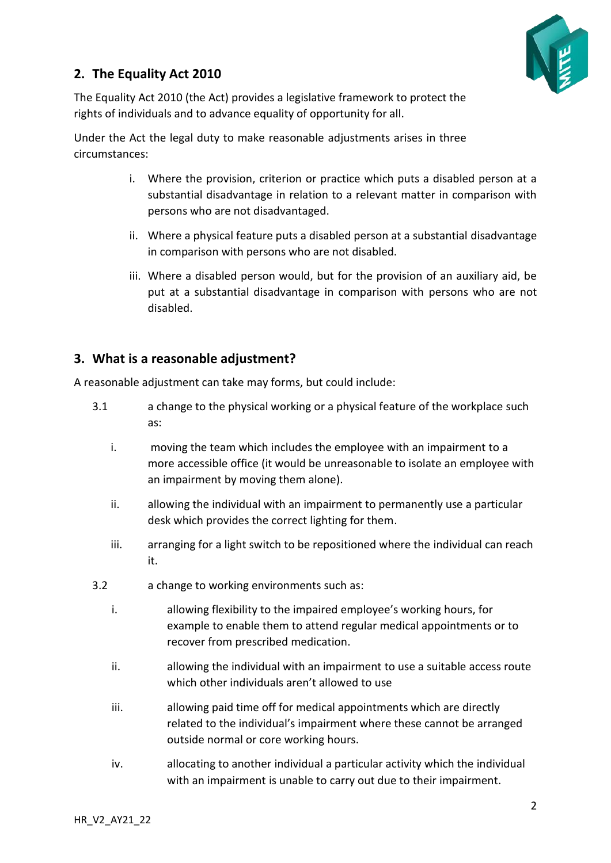# <span id="page-1-0"></span>**2. The Equality Act 2010**



The Equality Act 2010 (the Act) provides a legislative framework to protect the rights of individuals and to advance equality of opportunity for all.

Under the Act the legal duty to make reasonable adjustments arises in three circumstances:

- i. Where the provision, criterion or practice which puts a disabled person at a substantial disadvantage in relation to a relevant matter in comparison with persons who are not disadvantaged.
- ii. Where a physical feature puts a disabled person at a substantial disadvantage in comparison with persons who are not disabled.
- iii. Where a disabled person would, but for the provision of an auxiliary aid, be put at a substantial disadvantage in comparison with persons who are not disabled.

## <span id="page-1-1"></span>**3. What is a reasonable adjustment?**

A reasonable adjustment can take may forms, but could include:

- 3.1 a change to the physical working or a physical feature of the workplace such as:
	- i. moving the team which includes the employee with an impairment to a more accessible office (it would be unreasonable to isolate an employee with an impairment by moving them alone).
	- ii. allowing the individual with an impairment to permanently use a particular desk which provides the correct lighting for them.
	- iii. arranging for a light switch to be repositioned where the individual can reach it.
- 3.2 a change to working environments such as:
	- i. allowing flexibility to the impaired employee's working hours, for example to enable them to attend regular medical appointments or to recover from prescribed medication.
	- ii. allowing the individual with an impairment to use a suitable access route which other individuals aren't allowed to use
	- iii. allowing paid time off for medical appointments which are directly related to the individual's impairment where these cannot be arranged outside normal or core working hours.
	- iv. allocating to another individual a particular activity which the individual with an impairment is unable to carry out due to their impairment.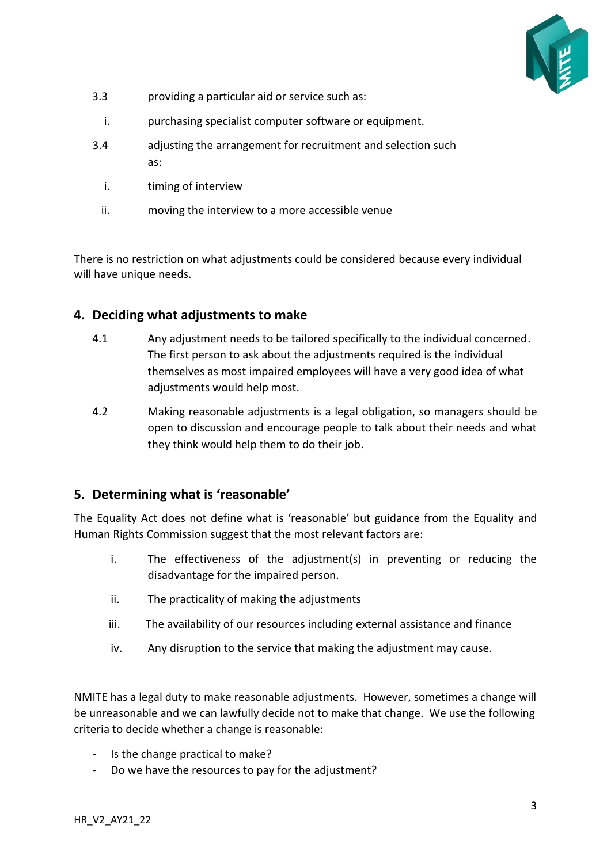

- 3.3 providing a particular aid or service such as:
- i. purchasing specialist computer software or equipment.
- 3.4 adjusting the arrangement for recruitment and selection such as:
	- i. timing of interview
	- ii. moving the interview to a more accessible venue

There is no restriction on what adjustments could be considered because every individual will have unique needs.

#### <span id="page-2-0"></span>**4. Deciding what adjustments to make**

- 4.1 Any adjustment needs to be tailored specifically to the individual concerned. The first person to ask about the adjustments required is the individual themselves as most impaired employees will have a very good idea of what adjustments would help most.
- 4.2 Making reasonable adjustments is a legal obligation, so managers should be open to discussion and encourage people to talk about their needs and what they think would help them to do their job.

#### <span id="page-2-1"></span>**5. Determining what is 'reasonable'**

The Equality Act does not define what is 'reasonable' but guidance from the Equality and Human Rights Commission suggest that the most relevant factors are:

- i. The effectiveness of the adjustment(s) in preventing or reducing the disadvantage for the impaired person.
- ii. The practicality of making the adjustments
- iii. The availability of our resources including external assistance and finance
- iv. Any disruption to the service that making the adjustment may cause.

NMITE has a legal duty to make reasonable adjustments. However, sometimes a change will be unreasonable and we can lawfully decide not to make that change. We use the following criteria to decide whether a change is reasonable:

- Is the change practical to make?
- Do we have the resources to pay for the adjustment?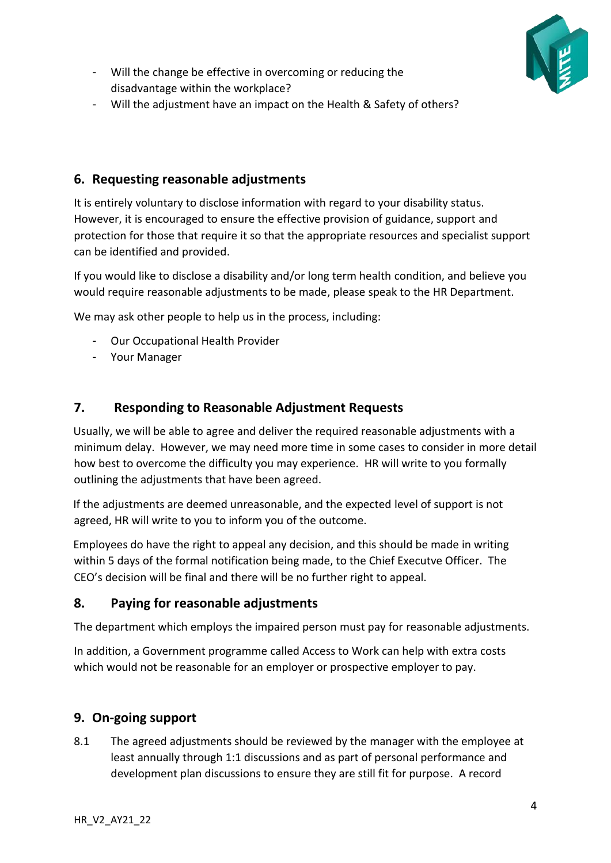

- Will the change be effective in overcoming or reducing the disadvantage within the workplace?
- Will the adjustment have an impact on the Health & Safety of others?

#### <span id="page-3-0"></span>**6. Requesting reasonable adjustments**

It is entirely voluntary to disclose information with regard to your disability status. However, it is encouraged to ensure the effective provision of guidance, support and protection for those that require it so that the appropriate resources and specialist support can be identified and provided.

If you would like to disclose a disability and/or long term health condition, and believe you would require reasonable adjustments to be made, please speak to the HR Department.

We may ask other people to help us in the process, including:

- Our Occupational Health Provider
- <span id="page-3-1"></span>- Your Manager

#### **7. Responding to Reasonable Adjustment Requests**

Usually, we will be able to agree and deliver the required reasonable adjustments with a minimum delay. However, we may need more time in some cases to consider in more detail how best to overcome the difficulty you may experience. HR will write to you formally outlining the adjustments that have been agreed.

If the adjustments are deemed unreasonable, and the expected level of support is not agreed, HR will write to you to inform you of the outcome.

Employees do have the right to appeal any decision, and this should be made in writing within 5 days of the formal notification being made, to the Chief Executve Officer. The CEO's decision will be final and there will be no further right to appeal.

#### **8. Paying for reasonable adjustments**

The department which employs the impaired person must pay for reasonable adjustments.

In addition, a Government programme called Access to Work can help with extra costs which would not be reasonable for an employer or prospective employer to pay.

#### <span id="page-3-2"></span>**9. On-going support**

8.1 The agreed adjustments should be reviewed by the manager with the employee at least annually through 1:1 discussions and as part of personal performance and development plan discussions to ensure they are still fit for purpose. A record